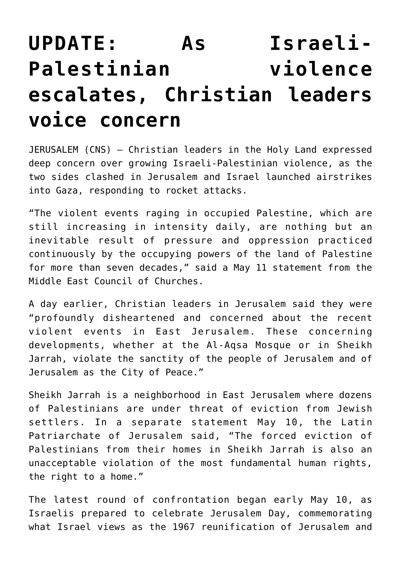## **[UPDATE: As Israeli-](https://www.osvnews.com/2021/05/11/christian-leaders-in-jerusalem-express-concern-over-growing-violence/)[Palestinian violence](https://www.osvnews.com/2021/05/11/christian-leaders-in-jerusalem-express-concern-over-growing-violence/) [escalates, Christian leaders](https://www.osvnews.com/2021/05/11/christian-leaders-in-jerusalem-express-concern-over-growing-violence/) [voice concern](https://www.osvnews.com/2021/05/11/christian-leaders-in-jerusalem-express-concern-over-growing-violence/)**

JERUSALEM (CNS) — Christian leaders in the Holy Land expressed deep concern over growing Israeli-Palestinian violence, as the two sides clashed in Jerusalem and Israel launched airstrikes into Gaza, responding to rocket attacks.

"The violent events raging in occupied Palestine, which are still increasing in intensity daily, are nothing but an inevitable result of pressure and oppression practiced continuously by the occupying powers of the land of Palestine for more than seven decades," said a May 11 statement from the Middle East Council of Churches.

A day earlier, Christian leaders in Jerusalem said they were "profoundly disheartened and concerned about the recent violent events in East Jerusalem. These concerning developments, whether at the Al-Aqsa Mosque or in Sheikh Jarrah, violate the sanctity of the people of Jerusalem and of Jerusalem as the City of Peace."

Sheikh Jarrah is a neighborhood in East Jerusalem where dozens of Palestinians are under threat of eviction from Jewish settlers. In a separate statement May 10, the Latin Patriarchate of Jerusalem said, "The forced eviction of Palestinians from their homes in Sheikh Jarrah is also an unacceptable violation of the most fundamental human rights, the right to a home."

The latest round of confrontation began early May 10, as Israelis prepared to celebrate Jerusalem Day, commemorating what Israel views as the 1967 reunification of Jerusalem and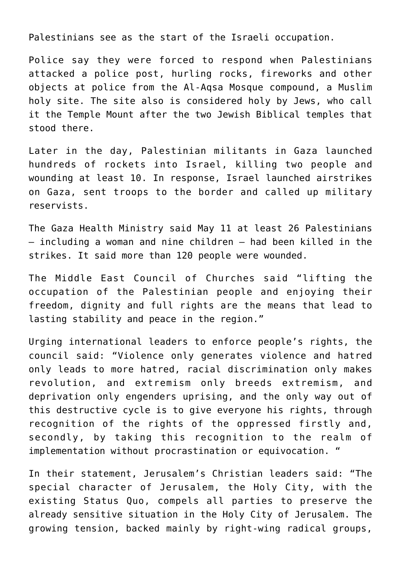Palestinians see as the start of the Israeli occupation.

Police say they were forced to respond when Palestinians attacked a police post, hurling rocks, fireworks and other objects at police from the Al-Aqsa Mosque compound, a Muslim holy site. The site also is considered holy by Jews, who call it the Temple Mount after the two Jewish Biblical temples that stood there.

Later in the day, Palestinian militants in Gaza launched hundreds of rockets into Israel, killing two people and wounding at least 10. In response, Israel launched airstrikes on Gaza, sent troops to the border and called up military reservists.

The Gaza Health Ministry said May 11 at least 26 Palestinians — including a woman and nine children — had been killed in the strikes. It said more than 120 people were wounded.

The Middle East Council of Churches said "lifting the occupation of the Palestinian people and enjoying their freedom, dignity and full rights are the means that lead to lasting stability and peace in the region."

Urging international leaders to enforce people's rights, the council said: "Violence only generates violence and hatred only leads to more hatred, racial discrimination only makes revolution, and extremism only breeds extremism, and deprivation only engenders uprising, and the only way out of this destructive cycle is to give everyone his rights, through recognition of the rights of the oppressed firstly and, secondly, by taking this recognition to the realm of implementation without procrastination or equivocation. "

In their statement, Jerusalem's Christian leaders said: "The special character of Jerusalem, the Holy City, with the existing Status Quo, compels all parties to preserve the already sensitive situation in the Holy City of Jerusalem. The growing tension, backed mainly by right-wing radical groups,